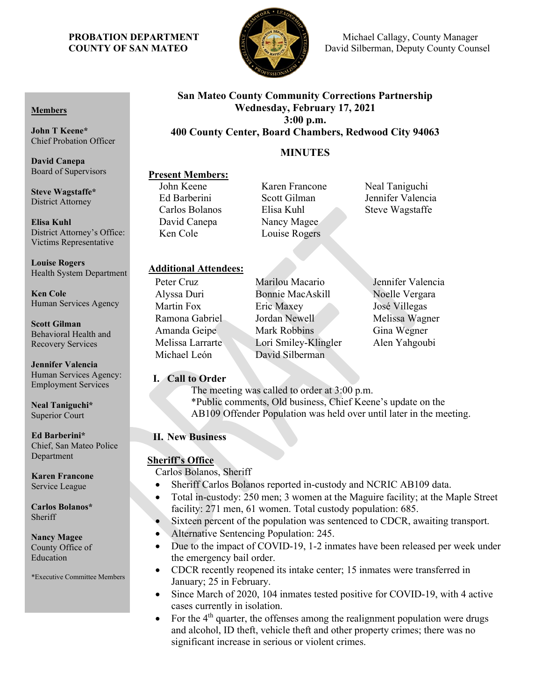

**PROBATION DEPARTMENT S Michael Callagy, County Manager COUNTY OF SAN MATEO David Silberman, Deputy County Counsel** 

# **San Mateo County Community Corrections Partnership Wednesday, February 17, 2021 3:00 p.m. 400 County Center, Board Chambers, Redwood City 94063**

# **MINUTES**

# **Present Members:**<br>John Keene

David Canepa Nancy Magee Ken Cole Louise Rogers

Karen Francone Neal Taniguchi Ed Barberini Scott Gilman Jennifer Valencia Carlos Bolanos Elisa Kuhl Steve Wagstaffe

# **Additional Attendees:**

Michael León David Silberman

Alyssa Duri Bonnie MacAskill Noelle Vergara Martin Fox Eric Maxey José Villegas Ramona Gabriel Jordan Newell Melissa Wagner Amanda Geipe Mark Robbins Gina Wegner Melissa Larrarte Lori Smiley-Klingler Alen Yahgoubi

Peter Cruz **Marilou Macario** Jennifer Valencia

# **I. Call to Order**

The meeting was called to order at 3:00 p.m. \*Public comments, Old business, Chief Keene's update on the AB109 Offender Population was held over until later in the meeting.

# **II. New Business**

# **Sheriff's Office**

Carlos Bolanos, Sheriff

- Sheriff Carlos Bolanos reported in-custody and NCRIC AB109 data.
- Total in-custody: 250 men; 3 women at the Maguire facility; at the Maple Street facility: 271 men, 61 women. Total custody population: 685.
- Sixteen percent of the population was sentenced to CDCR, awaiting transport.
- Alternative Sentencing Population: 245.
- Due to the impact of COVID-19, 1-2 inmates have been released per week under the emergency bail order.
- CDCR recently reopened its intake center; 15 inmates were transferred in January; 25 in February.
- Since March of 2020, 104 inmates tested positive for COVID-19, with 4 active cases currently in isolation.
- For the  $4<sup>th</sup>$  quarter, the offenses among the realignment population were drugs and alcohol, ID theft, vehicle theft and other property crimes; there was no significant increase in serious or violent crimes.

#### **Members**

**John T Keene\*** Chief Probation Officer

**David Canepa** Board of Supervisors

**Steve Wagstaffe\*** District Attorney

**Elisa Kuhl** District Attorney's Office: Victims Representative

**Louise Rogers** Health System Department

**Ken Cole** Human Services Agency

**Scott Gilman** Behavioral Health and Recovery Services

**Jennifer Valencia** Human Services Agency: Employment Services

**Neal Taniguchi\*** Superior Court

**Ed Barberini\*** Chief, San Mateo Police Department

**Karen Francone** Service League

**Carlos Bolanos\*** Sheriff

#### **Nancy Magee** County Office of Education

\*Executive Committee Members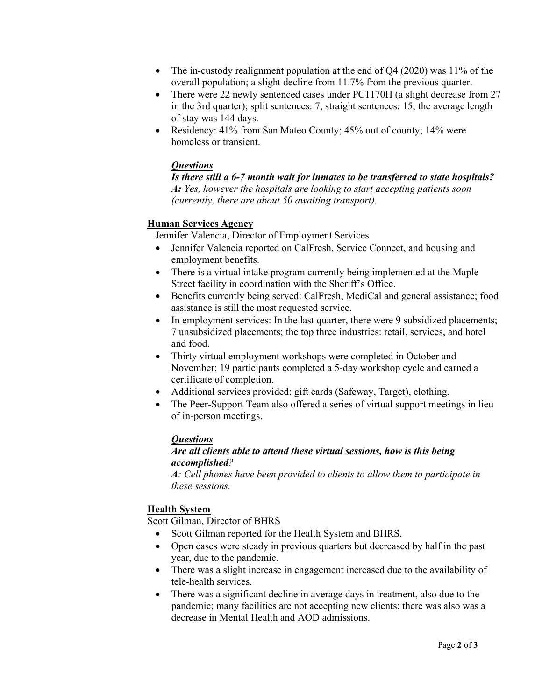- The in-custody realignment population at the end of O4 (2020) was 11% of the overall population; a slight decline from 11.7% from the previous quarter.
- There were 22 newly sentenced cases under PC1170H (a slight decrease from 27 in the 3rd quarter); split sentences: 7, straight sentences: 15; the average length of stay was 144 days.
- Residency: 41% from San Mateo County; 45% out of county; 14% were homeless or transient.

#### *Questions*

*Is there still a 6-7 month wait for inmates to be transferred to state hospitals? A: Yes, however the hospitals are looking to start accepting patients soon (currently, there are about 50 awaiting transport).*

#### **Human Services Agency**

Jennifer Valencia, Director of Employment Services

- Jennifer Valencia reported on CalFresh, Service Connect, and housing and employment benefits.
- There is a virtual intake program currently being implemented at the Maple Street facility in coordination with the Sheriff's Office.
- Benefits currently being served: CalFresh, MediCal and general assistance; food assistance is still the most requested service.
- In employment services: In the last quarter, there were 9 subsidized placements; 7 unsubsidized placements; the top three industries: retail, services, and hotel and food.
- Thirty virtual employment workshops were completed in October and November; 19 participants completed a 5-day workshop cycle and earned a certificate of completion.
- Additional services provided: gift cards (Safeway, Target), clothing.
- The Peer-Support Team also offered a series of virtual support meetings in lieu of in-person meetings.

# *Questions*

### *Are all clients able to attend these virtual sessions, how is this being accomplished?*

*A: Cell phones have been provided to clients to allow them to participate in these sessions.*

# **Health System**

Scott Gilman, Director of BHRS

- Scott Gilman reported for the Health System and BHRS.
- Open cases were steady in previous quarters but decreased by half in the past year, due to the pandemic.
- There was a slight increase in engagement increased due to the availability of tele-health services.
- There was a significant decline in average days in treatment, also due to the pandemic; many facilities are not accepting new clients; there was also was a decrease in Mental Health and AOD admissions.